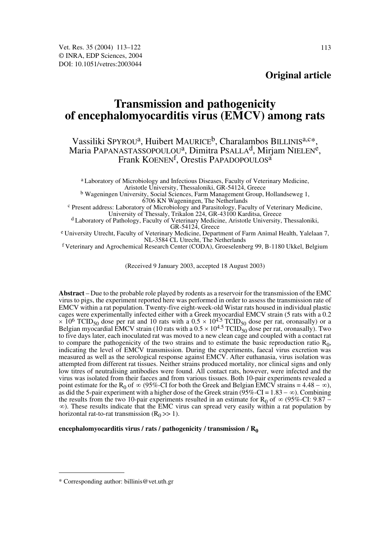# **Transmission and pathogenicity of encephalomyocarditis virus (EMCV) among rats**

# Vassiliki SPYROU<sup>a</sup>, Huibert MAURICE<sup>b</sup>, Charalambos BILLINIS<sup>a,c\*</sup>, Maria PAPANASTASSOPOULOU<sup>a</sup>, Dimitra PSALLA<sup>d</sup>, Mirjam NIELEN<sup>e</sup>, Frank KOENEN<sup>f</sup>, Orestis PAPADOPOULOS<sup>a</sup>

a Laboratory of Microbiology and Infectious Diseases, Faculty of Veterinary Medicine, Aristotle University, Thessaloniki, GR-54124, Greece

<sup>b</sup> Wageningen University, Social Sciences, Farm Management Group, Hollandseweg 1, 6706 KN Wageningen, The Netherlands

<sup>c</sup> Present address: Laboratory of Microbiology and Parasitology, Faculty of Veterinary Medicine, University of Thessaly, Trikalon 224, GR-43100 Karditsa, Greece

d Laboratory of Pathology, Faculty of Veterinary Medicine, Aristotle University, Thessaloniki,

<sup>e</sup> University Utrecht, Faculty of Veterinary Medicine, Department of Farm Animal Health, Yalelaan 7, NL-3584 CL Utrecht, The Netherlands

f Veterinary and Agrochemical Research Center (CODA), Groeselenberg 99, B-1180 Ukkel, Belgium

(Received 9 January 2003, accepted 18 August 2003)

**Abstract** – Due to the probable role played by rodents as a reservoir for the transmission of the EMC virus to pigs, the experiment reported here was performed in order to assess the transmission rate of EMCV within a rat population. Twenty-five eight-week-old Wistar rats housed in individual plastic cages were experimentally infected either with a Greek myocardial EMCV strain (5 rats with a 0.2  $\times$  10<sup>6</sup> TCID<sub>50</sub> dose per rat, oronasally) or a Belgian myocardial EMCV strain (10 rats with a  $0.5 \times 10^{4.5}$  TCID<sub>50</sub> dose per rat, oronasally). Two to five days later, each inoculated rat was moved to a new clean cage and coupled with a contact rat to compare the pathogenicity of the two strains and to estimate the basic reproduction ratio  $R_0$ , indicating the level of EMCV transmission. During the experiments, faecal virus excretion was measured as well as the serological response against EMCV. After euthanasia, virus isolation was attempted from different rat tissues. Neither strains produced mortality, nor clinical signs and only low titres of neutralising antibodies were found. All contact rats, however, were infected and the virus was isolated from their faeces and from various tissues. Both 10-pair experiments revealed a point estimate for the R<sub>0</sub> of  $\infty$  (95%-CI for both the Greek and Belgian EMCV strains = 4.48 –  $\infty$ ), as did the 5-pair experiment with a higher dose of the Greek strain ( $\overline{95\%}$ -CI = 1.83 –  $\infty$ ). Combining the results from the two 10-pair experiments resulted in an estimate for R<sub>0</sub> of  $\infty$  (95%-CI: 9.87 – ). These results indicate that the EMC virus can spread very easily within a rat population by ∞horizontal rat-to-rat transmission  $(R_0 \gg 1)$ .

## encephalomyocarditis virus / rats / pathogenicity / transmission / R<sub>0</sub>

<sup>\*</sup> Corresponding author: billinis@vet.uth.gr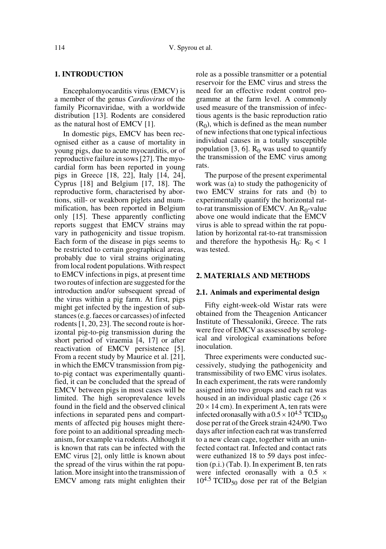## **1. INTRODUCTION**

Encephalomyocarditis virus (EMCV) is a member of the genus *Cardiovirus* of the family Picornaviridae, with a worldwide distribution [13]. Rodents are considered as the natural host of EMCV [1].

In domestic pigs, EMCV has been recognised either as a cause of mortality in young pigs, due to acute myocarditis, or of reproductive failure in sows [27]. The myocardial form has been reported in young pigs in Greece [18, 22], Italy [14, 24], Cyprus [18] and Belgium [17, 18]. The reproductive form, characterised by abortions, still- or weakborn piglets and mummification, has been reported in Belgium only [15]. These apparently conflicting reports suggest that EMCV strains may vary in pathogenicity and tissue tropism. Each form of the disease in pigs seems to be restricted to certain geographical areas, probably due to viral strains originating from local rodent populations. With respect to EMCV infections in pigs, at present time two routes of infection are suggested for the introduction and/or subsequent spread of the virus within a pig farm. At first, pigs might get infected by the ingestion of substances (e.g. faeces or carcasses) of infected rodents [1, 20, 23]. The second route is horizontal pig-to-pig transmission during the short period of viraemia [4, 17] or after reactivation of EMCV persistence [5]. From a recent study by Maurice et al. [21], in which the EMCV transmission from pigto-pig contact was experimentally quantified, it can be concluded that the spread of EMCV between pigs in most cases will be limited. The high seroprevalence levels found in the field and the observed clinical infections in separated pens and compartments of affected pig houses might therefore point to an additional spreading mechanism, for example via rodents. Although it is known that rats can be infected with the EMC virus [2], only little is known about the spread of the virus within the rat population. More insight into the transmission of EMCV among rats might enlighten their role as a possible transmitter or a potential reservoir for the EMC virus and stress the need for an effective rodent control programme at the farm level. A commonly used measure of the transmission of infectious agents is the basic reproduction ratio  $(R<sub>0</sub>)$ , which is defined as the mean number of new infections that one typical infectious individual causes in a totally susceptible population [3, 6].  $R_0$  was used to quantify the transmission of the EMC virus among rats.

The purpose of the present experimental work was (a) to study the pathogenicity of two EMCV strains for rats and (b) to experimentally quantify the horizontal ratto-rat transmission of EMCV. An  $R_0$ -value above one would indicate that the EMCV virus is able to spread within the rat population by horizontal rat-to-rat transmission and therefore the hypothesis  $H_0$ :  $R_0 < 1$ was tested.

## **2. MATERIALS AND METHODS**

#### **2.1. Animals and experimental design**

Fifty eight-week-old Wistar rats were obtained from the Theagenion Anticancer Institute of Thessaloniki, Greece. The rats were free of EMCV as assessed by serological and virological examinations before inoculation.

Three experiments were conducted successively, studying the pathogenicity and transmissibility of two EMC virus isolates. In each experiment, the rats were randomly assigned into two groups and each rat was housed in an individual plastic cage  $(26 \times$  $20 \times 14$  cm). In experiment A, ten rats were infected oronasally with a  $0.5 \times 10^{4.5}$  TCID<sub>50</sub> dose per rat of the Greek strain 424/90. Two days after infection each rat was transferred to a new clean cage, together with an uninfected contact rat. Infected and contact rats were euthanized 18 to 59 days post infection (p.i.) (Tab. I). In experiment B, ten rats were infected oronasally with a 0.5  $\times$  $10^{4.5}$  TCID<sub>50</sub> dose per rat of the Belgian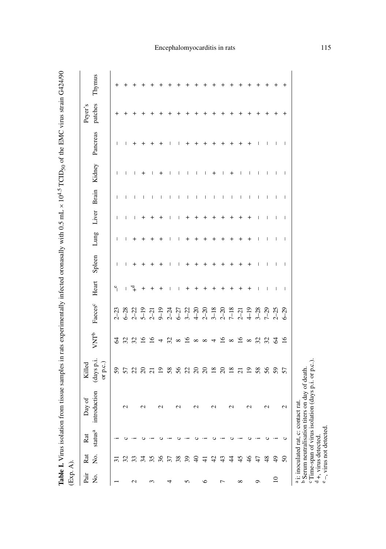| $\frac{1}{2}$                                  |  |
|------------------------------------------------|--|
|                                                |  |
|                                                |  |
|                                                |  |
|                                                |  |
|                                                |  |
| .<br>.<br>.<br>$\ddot{\phantom{0}}$            |  |
|                                                |  |
|                                                |  |
|                                                |  |
|                                                |  |
|                                                |  |
|                                                |  |
|                                                |  |
|                                                |  |
|                                                |  |
|                                                |  |
|                                                |  |
|                                                |  |
| $\sim$ 12 $\sim$ 12 $\sim$ 12 $\sim$ 12 $\sim$ |  |
| $\sim 0.5$                                     |  |
|                                                |  |
|                                                |  |
|                                                |  |
|                                                |  |
| ĺ                                              |  |
|                                                |  |
| ĺ                                              |  |
|                                                |  |
|                                                |  |
| ۱,                                             |  |
|                                                |  |
|                                                |  |
|                                                |  |
|                                                |  |
|                                                |  |
|                                                |  |
|                                                |  |
|                                                |  |
|                                                |  |
|                                                |  |
|                                                |  |
|                                                |  |
|                                                |  |
| "Lac in rote avnarime"                         |  |
|                                                |  |
|                                                |  |
|                                                |  |
|                                                |  |
|                                                |  |
| こくりょうじょう くりこくしゃ くうくう                           |  |
|                                                |  |
| ;                                              |  |
|                                                |  |
|                                                |  |
|                                                |  |
|                                                |  |
|                                                |  |
|                                                |  |
|                                                |  |
|                                                |  |
|                                                |  |
|                                                |  |
|                                                |  |
| ĺ                                              |  |

| (Exp. A)        |                         |                            |                                                                                                                                                        |                                               |                     |                           |                |        |              |   |                                       |                    |          |                    |        |
|-----------------|-------------------------|----------------------------|--------------------------------------------------------------------------------------------------------------------------------------------------------|-----------------------------------------------|---------------------|---------------------------|----------------|--------|--------------|---|---------------------------------------|--------------------|----------|--------------------|--------|
| Pair<br>Σó,     | Σó.<br>Rat              | status <sup>a</sup><br>Rat | introduction<br>Day of                                                                                                                                 | (days p.i.<br>or p.c.)<br>Killed              | VNTb                | Faeces <sup>c</sup> Heart |                | Spleen | Lung         |   |                                       | Liver Brain Kidney | Pancreas | patches<br>Peyer's | Thymus |
|                 | ಸ                       |                            |                                                                                                                                                        | 59                                            | 2                   | $2 - 23$                  | $\mathbf{e}$   |        | ш            |   |                                       |                    |          |                    |        |
|                 |                         |                            | 2                                                                                                                                                      |                                               |                     |                           | т              |        | $\mathbf{I}$ |   | T                                     |                    |          |                    |        |
| $\mathbf{\sim}$ | 32                      |                            |                                                                                                                                                        |                                               | 3280                |                           | $\overline{a}$ |        |              |   |                                       |                    |          |                    |        |
|                 | 34                      |                            |                                                                                                                                                        |                                               |                     |                           | $^+$           |        |              |   | $\begin{array}{c} \hline \end{array}$ | +                  |          |                    |        |
| $\sim$          | 35                      |                            |                                                                                                                                                        |                                               | $\overline{5}$      |                           |                |        |              |   | I                                     |                    |          |                    |        |
|                 | 36                      |                            |                                                                                                                                                        | $\overline{19}$                               | 4                   |                           |                |        |              |   | $\overline{\phantom{a}}$              |                    |          |                    |        |
| 4               | 37                      |                            |                                                                                                                                                        | 58                                            | 32                  |                           |                |        |              |   | T                                     |                    |          |                    |        |
|                 | 38                      |                            |                                                                                                                                                        | 56                                            |                     |                           |                |        |              |   | T                                     |                    |          |                    |        |
| 5               | 39                      |                            |                                                                                                                                                        |                                               | $\frac{8}{16}$      |                           |                |        |              |   | I                                     |                    |          |                    |        |
|                 | $\Theta$                |                            |                                                                                                                                                        | $\begin{array}{c} 23 \\ 24 \\ 35 \end{array}$ |                     |                           |                |        |              |   | T                                     |                    |          |                    |        |
| ৩               | $\pm$                   |                            |                                                                                                                                                        |                                               | $\infty$ $\infty$ 4 |                           |                |        |              |   | I                                     |                    |          |                    |        |
|                 | 42                      |                            |                                                                                                                                                        | 18                                            |                     |                           |                |        |              |   | $\overline{\phantom{a}}$              | +                  |          |                    |        |
| Γ               | 43                      |                            |                                                                                                                                                        | $\infty$                                      | $\approx$           |                           |                |        |              |   | T                                     |                    |          |                    |        |
|                 | $\ddot{4}$              |                            |                                                                                                                                                        | $\overline{18}$                               | $\infty$            |                           |                |        |              |   | T                                     |                    |          |                    |        |
| ${}^{\circ}$    | 45                      |                            |                                                                                                                                                        | $\overline{c}$                                | $\frac{6}{8}$       |                           |                |        |              |   | $\begin{array}{c} \hline \end{array}$ |                    |          |                    |        |
|                 | $\frac{4}{6}$           |                            |                                                                                                                                                        | $\overline{5}$                                |                     |                           |                |        |              |   |                                       |                    |          |                    |        |
| Q               | 47                      |                            |                                                                                                                                                        | 58                                            | 323                 |                           |                |        |              |   | 1                                     |                    |          |                    |        |
|                 | 48                      | ပ                          |                                                                                                                                                        | 56                                            |                     |                           |                |        |              |   | T                                     |                    |          |                    |        |
| $\overline{10}$ | $\overline{49}$         |                            |                                                                                                                                                        | 57                                            |                     |                           |                |        |              |   | $\mathsf{I}$                          |                    |          |                    |        |
|                 | $50\,$                  | ပ                          | $\mathcal{L}$                                                                                                                                          |                                               | $\tilde{16}$        |                           | $\mathbf{I}$   |        | т            | Ш | $\mathbf{I}$                          |                    | т        |                    |        |
| $\ddot{\circ}$  | $d +$ , virus detected. | $-$ , virus not detected   | b Serum neutralisation titers on day of death.<br>C Time-span of virus isolation (days p.i. or p.c.)<br><sup>a</sup> i: inoculated rat, c: contact rat |                                               |                     |                           |                |        |              |   |                                       |                    |          |                    |        |

# Encephalomyocarditis in rats 115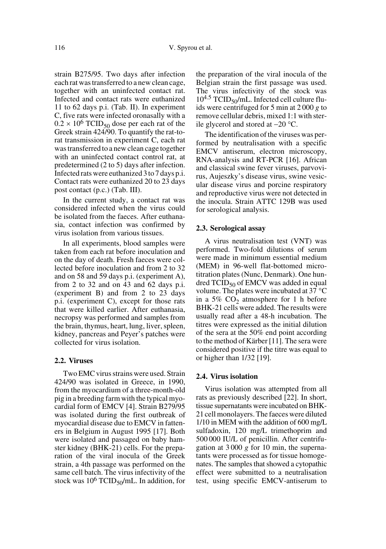strain B275/95. Two days after infection each rat was transferred to a new clean cage, together with an uninfected contact rat. Infected and contact rats were euthanized 11 to 62 days p.i. (Tab. II). In experiment C, five rats were infected oronasally with a  $0.2 \times 10^6$  TCID<sub>50</sub> dose per each rat of the Greek strain 424/90. To quantify the rat-torat transmission in experiment C, each rat was transferred to a new clean cage together with an uninfected contact control rat, at predetermined (2 to 5) days after infection. Infected rats were euthanized 3 to 7 days p.i. Contact rats were euthanized 20 to 23 days post contact (p.c.) (Tab. III).

In the current study, a contact rat was considered infected when the virus could be isolated from the faeces. After euthanasia, contact infection was confirmed by virus isolation from various tissues.

In all experiments, blood samples were taken from each rat before inoculation and on the day of death. Fresh faeces were collected before inoculation and from 2 to 32 and on 58 and 59 days p.i. (experiment A), from 2 to 32 and on 43 and 62 days p.i. (experiment B) and from 2 to 23 days p.i. (experiment C), except for those rats that were killed earlier. After euthanasia, necropsy was performed and samples from the brain, thymus, heart, lung, liver, spleen, kidney, pancreas and Peyer's patches were collected for virus isolation.

#### **2.2. Viruses**

Two EMC virus strains were used. Strain 424/90 was isolated in Greece, in 1990, from the myocardium of a three-month-old pig in a breeding farm with the typical myocardial form of EMCV [4]. Strain B279/95 was isolated during the first outbreak of myocardial disease due to EMCV in fatteners in Belgium in August 1995 [17]. Both were isolated and passaged on baby hamster kidney (BHK-21) cells. For the preparation of the viral inocula of the Greek strain, a 4th passage was performed on the same cell batch. The virus infectivity of the stock was  $10^6$  TCID<sub>50</sub>/mL. In addition, for the preparation of the viral inocula of the Belgian strain the first passage was used. The virus infectivity of the stock was  $10^{4.5}$  TCID<sub>50</sub>/mL. Infected cell culture fluids were centrifuged for 5 min at 2 000 *g* to remove cellular debris, mixed 1:1 with sterile glycerol and stored at −20 °C.

The identification of the viruses was performed by neutralisation with a specific EMCV antiserum, electron microscopy, RNA-analysis and RT-PCR [16]. African and classical swine fever viruses, parvovirus, Aujeszky's disease virus, swine vesicular disease virus and porcine respiratory and reproductive virus were not detected in the inocula. Strain ATTC 129B was used for serological analysis.

#### **2.3. Serological assay**

A virus neutralisation test (VNT) was performed. Two-fold dilutions of serum were made in minimum essential medium (MEM) in 96-well flat-bottomed microtitration plates (Nunc, Denmark). One hundred  $TCID_{50}$  of EMCV was added in equal volume. The plates were incubated at 37 °C in a 5%  $CO<sub>2</sub>$  atmosphere for 1 h before BHK-21 cells were added. The results were usually read after a 48-h incubation. The titres were expressed as the initial dilution of the sera at the 50% end point according to the method of Kärber [11]. The sera were considered positive if the titre was equal to or higher than 1/32 [19].

## **2.4. Virus isolation**

Virus isolation was attempted from all rats as previously described [22]. In short, tissue supernatants were incubated on BHK-21 cell monolayers. The faeces were diluted 1/10 in MEM with the addition of 600 mg/L sulfadoxin, 120 mg/L trimethoprim and 500 000 IU/L of penicillin. After centrifugation at 3 000 *g* for 10 min, the supernatants were processed as for tissue homogenates. The samples that showed a cytopathic effect were submitted to a neutralisation test, using specific EMCV-antiserum to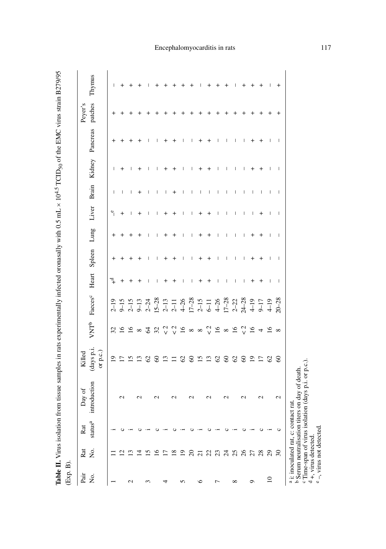| ֖֖֖֖֖֖֖֖֖֧֪֪֪ׅ֪֪֧֪֧֚֚֚֚֚֚֚֚֚֚֚֚֚֚֚֚֚֚֚֚֚֚֚֚֚֚֬֝֓֞֝֓֞֓֞֬֝֬֝֬ |                  |
|-------------------------------------------------------------|------------------|
| $\frac{1}{2}$<br>)                                          |                  |
| ļ                                                           |                  |
| :<br>;                                                      |                  |
|                                                             |                  |
|                                                             |                  |
| i<br>$\frac{1}{2}$                                          |                  |
| -<br>-<br>-<br>-<br>-<br><b>The Lie II</b><br>i<br>í        | ١<br>i<br>İ<br>ļ |

| Pair            | Rat                                               | Rat                                 | Day of                                                                                                          | Killed                 |                                                                           |                                                                                                                                                                                                                                                                            |              |                          |                |                 |                          |              |                             | Peyer's |        |
|-----------------|---------------------------------------------------|-------------------------------------|-----------------------------------------------------------------------------------------------------------------|------------------------|---------------------------------------------------------------------------|----------------------------------------------------------------------------------------------------------------------------------------------------------------------------------------------------------------------------------------------------------------------------|--------------|--------------------------|----------------|-----------------|--------------------------|--------------|-----------------------------|---------|--------|
| Ż.              | Σó,                                               | $\mathrm{status}^\mathrm{a}$        | introduction                                                                                                    | (days p.i.<br>or p.c.) |                                                                           | VNT <sup>b</sup> Faeces <sup>c</sup> Heart                                                                                                                                                                                                                                 |              | Spleen Lung              |                |                 |                          |              | Liver Brain Kidney Pancreas | patches | Thymus |
|                 |                                                   |                                     |                                                                                                                 | $\overline{0}$         |                                                                           | $2 - 19$                                                                                                                                                                                                                                                                   | ٦            |                          |                | $\ddot{\ }$     |                          |              |                             |         |        |
|                 | $\sim$                                            |                                     | $\sim$                                                                                                          |                        |                                                                           |                                                                                                                                                                                                                                                                            | +            |                          |                | $\,{}^+$        |                          | ٠            |                             |         |        |
| $\mathbf{\sim}$ | ن                                                 |                                     |                                                                                                                 | 51                     |                                                                           |                                                                                                                                                                                                                                                                            | $\pm$        |                          |                |                 |                          |              |                             |         |        |
|                 | ₹                                                 |                                     |                                                                                                                 | ≌                      |                                                                           |                                                                                                                                                                                                                                                                            | ٠            |                          |                |                 | $\,^+$                   |              |                             |         |        |
| ↶               | ≌                                                 |                                     |                                                                                                                 | $\mathcal{S}$          |                                                                           |                                                                                                                                                                                                                                                                            |              |                          | ı              |                 |                          |              |                             |         |        |
|                 | $\widetilde{\phantom{a}}$                         |                                     |                                                                                                                 | 8                      |                                                                           |                                                                                                                                                                                                                                                                            |              |                          | I.             |                 |                          |              |                             |         |        |
| ₹               | $\overline{17}$                                   |                                     |                                                                                                                 | $\Xi$                  |                                                                           |                                                                                                                                                                                                                                                                            | $^+$         |                          |                |                 |                          |              |                             |         |        |
|                 | $\frac{8}{18}$                                    |                                     | $\sim$                                                                                                          | $\Xi$                  |                                                                           |                                                                                                                                                                                                                                                                            | +            |                          | +              |                 | +                        |              |                             |         |        |
| 5               | $\overline{1}$                                    |                                     |                                                                                                                 | $\mathcal{O}$          |                                                                           |                                                                                                                                                                                                                                                                            | L            | ı                        | ı              |                 | ı                        |              |                             |         |        |
|                 | $\Omega$                                          |                                     | $\sim$                                                                                                          | $\infty$               |                                                                           |                                                                                                                                                                                                                                                                            | ı            | J.                       | п              |                 | I                        |              |                             |         |        |
| ७               | $\overline{c}$                                    |                                     |                                                                                                                 |                        |                                                                           |                                                                                                                                                                                                                                                                            | $\,^+$       |                          |                |                 |                          |              |                             |         |        |
|                 |                                                   |                                     | $\sim$                                                                                                          | $15$                   |                                                                           |                                                                                                                                                                                                                                                                            | $\,{}^+$     |                          | +              |                 |                          |              |                             |         |        |
| Γ               | 23                                                |                                     |                                                                                                                 | 62                     |                                                                           |                                                                                                                                                                                                                                                                            | I            | I                        | I              |                 |                          |              |                             |         |        |
|                 | 24                                                |                                     | $\mathrel{\sim}$                                                                                                | $\pmb{\mathcal{S}}$    |                                                                           |                                                                                                                                                                                                                                                                            | т            | т                        | т              | т               | $\overline{\phantom{a}}$ |              |                             |         |        |
| ${}^{\circ}$    | 25                                                |                                     |                                                                                                                 | $\mathcal{O}$          |                                                                           |                                                                                                                                                                                                                                                                            | I            | ı                        | ı              |                 | I                        |              |                             |         |        |
|                 | 26                                                |                                     | $\sim$                                                                                                          | $\infty$               | $\begin{array}{c} \n\sqrt{2} & \infty \\ \n\sqrt{2} & \infty \end{array}$ | $\begin{array}{l} 5.75 & 0.75 & 0.75 & 0.75 & 0.75 & 0.75 & 0.75 & 0.75 & 0.75 & 0.75 & 0.75 & 0.75 & 0.75 & 0.75 & 0.75 & 0.75 & 0.75 & 0.75 & 0.75 & 0.75 & 0.75 & 0.75 & 0.75 & 0.75 & 0.75 & 0.75 & 0.75 & 0.75 & 0.75 & 0.75 & 0.75 & 0.75 & 0.75 & 0.75 & 0.75 & 0.$ | ı            | I                        | ı              | I               |                          |              | I                           |         |        |
| ٥               | 27                                                |                                     |                                                                                                                 | $\overline{0}$         | $\overline{16}$                                                           |                                                                                                                                                                                                                                                                            | +            | +                        | +              | I               |                          |              |                             |         |        |
|                 | 28                                                | ပ                                   | $\sim$                                                                                                          | $\overline{17}$        | 4                                                                         |                                                                                                                                                                                                                                                                            | $\,^+$       | $\,{}^+$                 | ┿              | $^{\mathrm{+}}$ |                          |              |                             |         |        |
| $\overline{10}$ | 29                                                |                                     |                                                                                                                 | $\mathcal{O}$          | $\overline{16}$                                                           |                                                                                                                                                                                                                                                                            | I            | $\overline{\phantom{a}}$ | I              | I               |                          |              |                             |         |        |
|                 | $\mathcal{S}^{\circ}$                             | ల                                   | $\mathcal{L}$                                                                                                   | $\infty$               | $\infty$                                                                  | $20 - 28$                                                                                                                                                                                                                                                                  | $\mathbf{I}$ | $\overline{1}$           | $\overline{1}$ | $\mathbf{I}$    | $\overline{\phantom{a}}$ | $\mathbf{I}$ | $\mathbf{I}$                |         |        |
|                 | e-, virus not detected<br>$d +$ , virus detected. | a i: inoculated rat, c: contact rat | "Time-span of virus isolation (days p.i. or p.c.).<br><sup>b</sup> Serum neutralisation titers on day of death. |                        |                                                                           |                                                                                                                                                                                                                                                                            |              |                          |                |                 |                          |              |                             |         |        |

# Encephalomyocarditis in rats 117

 $e$  –, virus not detected.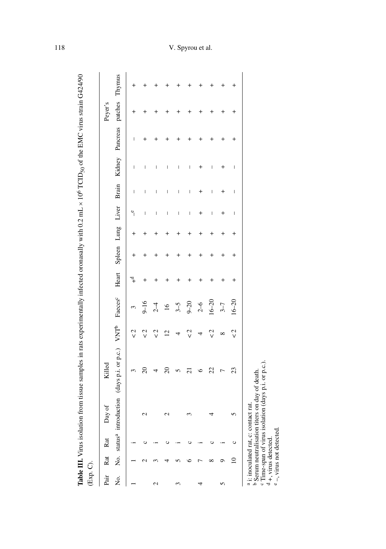| i<br>VIC<br>$1.00 \text{ m}$<br>وأسدد والمتعامد<br>;<br>;<br>$\sim$ $\sim$ $\sim$<br>・こくし<br>.<br>i<br>Santa Santa Santa Santa Santa Santa Santa Santa Santa Santa Santa Santa Santa Santa Santa Santa Santa Santa Sa<br>l<br>$\overline{a}$<br>able III. V | Ć<br>ミン・ショー |
|-------------------------------------------------------------------------------------------------------------------------------------------------------------------------------------------------------------------------------------------------------------|-------------|
|                                                                                                                                                                                                                                                             |             |

| (Exp. C). |       |                                                   |             | Table III. Virus isolation from tissue samples in rats experimentally infected oronasally with 0.2 mL × 10 <sup>6</sup> TCID <sub>50</sub> of the EMC virus strain G424/90 |                      |                     |                               |          |                                                                                                                                                                                                                                                                                                                                                                                  |                          |                                |                                |         |  |
|-----------|-------|---------------------------------------------------|-------------|----------------------------------------------------------------------------------------------------------------------------------------------------------------------------|----------------------|---------------------|-------------------------------|----------|----------------------------------------------------------------------------------------------------------------------------------------------------------------------------------------------------------------------------------------------------------------------------------------------------------------------------------------------------------------------------------|--------------------------|--------------------------------|--------------------------------|---------|--|
| Pair      | Rat   | Rat                                               | Day of      | Killed                                                                                                                                                                     |                      |                     |                               |          |                                                                                                                                                                                                                                                                                                                                                                                  |                          |                                |                                | Peyer's |  |
| Ź.        |       |                                                   |             | No. status <sup>a</sup> introduction (days p.i. or p.c.) VNT <sup>b</sup>                                                                                                  |                      | Faeces <sup>c</sup> | Heart Spleen Lung Liver Brain |          |                                                                                                                                                                                                                                                                                                                                                                                  |                          |                                | Kidney Pancreas patches Thymus |         |  |
|           |       |                                                   |             |                                                                                                                                                                            | ر<br>V               | 3                   |                               |          | $\mathbf{e}_{\parallel}$                                                                                                                                                                                                                                                                                                                                                         | I                        | $\mathsf I$                    | I                              |         |  |
|           |       |                                                   | $\mathbf 2$ | $\mathbf{S}$                                                                                                                                                               | 2<br>S               | $9 - 16$            |                               |          | $\overline{\phantom{a}}$                                                                                                                                                                                                                                                                                                                                                         | I                        | I                              |                                |         |  |
| 2         |       |                                                   |             |                                                                                                                                                                            | $\frac{2}{\sqrt{2}}$ | $2-4$               |                               |          | $\mid$                                                                                                                                                                                                                                                                                                                                                                           | $\overline{\phantom{a}}$ | I                              |                                |         |  |
|           |       |                                                   | $\mathbf 2$ | $\approx$                                                                                                                                                                  | $\overline{2}$       | 16                  |                               |          | $\begin{array}{c} \end{array}$                                                                                                                                                                                                                                                                                                                                                   | I                        | I                              |                                |         |  |
| 3         |       |                                                   |             | 5                                                                                                                                                                          | 4                    | $3-5$               |                               |          | I                                                                                                                                                                                                                                                                                                                                                                                | I                        | I                              |                                |         |  |
|           |       |                                                   |             | ដ                                                                                                                                                                          | $\frac{2}{\sqrt{2}}$ | $9 - 20$            |                               |          | I                                                                                                                                                                                                                                                                                                                                                                                | I                        | I                              |                                |         |  |
| 4         |       |                                                   |             | ७                                                                                                                                                                          |                      | $2-6$               |                               |          | $\,{}^+$                                                                                                                                                                                                                                                                                                                                                                         | +                        |                                |                                |         |  |
|           | ∞     |                                                   |             | 22                                                                                                                                                                         | $\frac{2}{\sqrt{2}}$ | $16 - 20$           |                               |          | I                                                                                                                                                                                                                                                                                                                                                                                | I                        | I                              |                                |         |  |
| 5         | ๑     |                                                   |             | 冖                                                                                                                                                                          | ∞                    | $3 - 7$             |                               | +        | $\,{}^+$                                                                                                                                                                                                                                                                                                                                                                         |                          | $\,{}^+$                       | +                              |         |  |
|           | $\Xi$ | ပ                                                 |             | 23                                                                                                                                                                         | $\frac{2}{3}$        | $16 - 20$           | +                             | $\,{}^+$ | $\begin{array}{c} \rule{0pt}{2.5ex} \rule{0pt}{2.5ex} \rule{0pt}{2.5ex} \rule{0pt}{2.5ex} \rule{0pt}{2.5ex} \rule{0pt}{2.5ex} \rule{0pt}{2.5ex} \rule{0pt}{2.5ex} \rule{0pt}{2.5ex} \rule{0pt}{2.5ex} \rule{0pt}{2.5ex} \rule{0pt}{2.5ex} \rule{0pt}{2.5ex} \rule{0pt}{2.5ex} \rule{0pt}{2.5ex} \rule{0pt}{2.5ex} \rule{0pt}{2.5ex} \rule{0pt}{2.5ex} \rule{0pt}{2.5ex} \rule{0$ | $\mid$                   | $\begin{array}{c} \end{array}$ | +                              |         |  |
|           |       | $\frac{3}{4}$ is and at all not and $\frac{3}{4}$ | $\sim$      |                                                                                                                                                                            |                      |                     |                               |          |                                                                                                                                                                                                                                                                                                                                                                                  |                          |                                |                                |         |  |

a i: inoculated rat, c: contact rat.

a i: inoculated rat, c: contact rat.<br>b Serum neutralisation titers on day of death.<br>c Time-span of virus isolation (days p.i. or p.c.).<br>d +, virus not detected.<br>e -, virus not detected. b Serum neutralisation titers on day of death.

c Time-span of virus isolation (days p.i. or p.c.).

d +, virus detected.

 $e$  –, virus not detected.

# 118 V. Spyrou et al.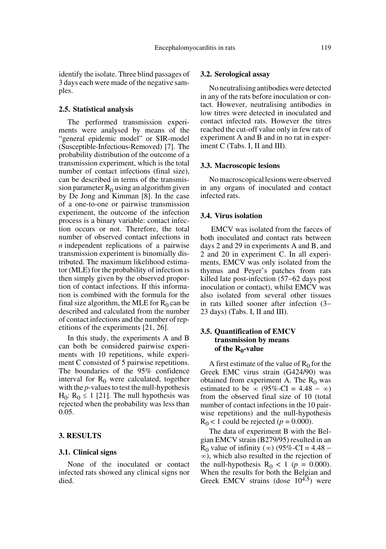identify the isolate. Three blind passages of 3 days each were made of the negative samples.

#### **2.5. Statistical analysis**

The performed transmission experiments were analysed by means of the "general epidemic model" or SIR-model (Susceptible-Infectious-Removed) [7]. The probability distribution of the outcome of a transmission experiment, which is the total number of contact infections (final size), can be described in terms of the transmission parameter  $R_0$  using an algorithm given by De Jong and Kimman [8]. In the case of a one-to-one or pairwise transmission experiment, the outcome of the infection process is a binary variable: contact infection occurs or not. Therefore, the total number of observed contact infections in *n* independent replications of a pairwise transmission experiment is binomially distributed. The maximum likelihood estimator (MLE) for the probability of infection is then simply given by the observed proportion of contact infections. If this information is combined with the formula for the final size algorithm, the MLE for  $R_0$  can be described and calculated from the number of contact infections and the number of repetitions of the experiments [21, 26].

In this study, the experiments A and B can both be considered pairwise experiments with 10 repetitions, while experiment C consisted of 5 pairwise repetitions. The boundaries of the 95% confidence interval for  $R_0$  were calculated, together with the *p*-values to test the null-hypothesis  $H_0$ :  $R_0 \le 1$  [21]. The null hypothesis was rejected when the probability was less than 0.05.

## **3. RESULTS**

#### **3.1. Clinical signs**

None of the inoculated or contact infected rats showed any clinical signs nor died.

#### **3.2. Serological assay**

No neutralising antibodies were detected in any of the rats before inoculation or contact. However, neutralising antibodies in low titres were detected in inoculated and contact infected rats. However the titres reached the cut-off value only in few rats of experiment A and B and in no rat in experiment C (Tabs. I, II and III).

#### **3.3. Macroscopic lesions**

No macroscopical lesions were observed in any organs of inoculated and contact infected rats.

## **3.4. Virus isolation**

 EMCV was isolated from the faeces of both inoculated and contact rats between days 2 and 29 in experiments A and B, and 2 and 20 in experiment C. In all experiments, EMCV was only isolated from the thymus and Peyer's patches from rats killed late post-infection (57−62 days post inoculation or contact), whilst EMCV was also isolated from several other tissues in rats killed sooner after infection (3− 23 days) (Tabs. I, II and III).

## **3.5. Quantification of EMCV transmission by means**  of the R<sub>0</sub>-value

A first estimate of the value of  $R_0$  for the Greek EMC virus strain (G424/90) was obtained from experiment A. The  $R_0$  was estimated to be  $\infty$  (95%-CI = 4.48 –  $\infty$ ) from the observed final size of 10 (total number of contact infections in the 10 pairwise repetitions) and the null-hypothesis  $R_0 < 1$  could be rejected ( $p = 0.000$ ).

The data of experiment B with the Belgian EMCV strain (B279/95) resulted in an  $R_0$  value of infinity (∞) (95%-CI = 4.48 – ), which also resulted in the rejection of ∞the null-hypothesis  $R_0 < 1$  ( $p = 0.000$ ). When the results for both the Belgian and Greek EMCV strains (dose  $10^{4.5}$ ) were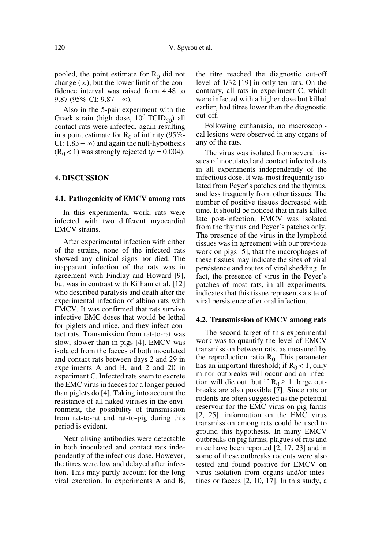pooled, the point estimate for  $R_0$  did not change  $(\infty)$ , but the lower limit of the confidence interval was raised from 4.48 to  $9.87 (95\% - CI: 9.87 - \infty).$ 

Also in the 5-pair experiment with the Greek strain (high dose,  $10^6$  TCID<sub>50</sub>) all contact rats were infected, again resulting in a point estimate for  $R_0$  of infinity (95%-CI:  $1.83 - \infty$ ) and again the null-hypothesis  $(R<sub>0</sub> < 1)$  was strongly rejected ( $p = 0.004$ ).

## **4. DISCUSSION**

#### **4.1. Pathogenicity of EMCV among rats**

In this experimental work, rats were infected with two different myocardial EMCV strains.

After experimental infection with either of the strains, none of the infected rats showed any clinical signs nor died. The inapparent infection of the rats was in agreement with Findlay and Howard [9], but was in contrast with Kilham et al. [12] who described paralysis and death after the experimental infection of albino rats with EMCV. It was confirmed that rats survive infective EMC doses that would be lethal for piglets and mice, and they infect contact rats. Transmission from rat-to-rat was slow, slower than in pigs [4]. EMCV was isolated from the faeces of both inoculated and contact rats between days 2 and 29 in experiments A and B, and 2 and 20 in experiment C. Infected rats seem to excrete the EMC virus in faeces for a longer period than piglets do [4]. Taking into account the resistance of all naked viruses in the environment, the possibility of transmission from rat-to-rat and rat-to-pig during this period is evident.

Neutralising antibodies were detectable in both inoculated and contact rats independently of the infectious dose. However, the titres were low and delayed after infection. This may partly account for the long viral excretion. In experiments A and B, the titre reached the diagnostic cut-off level of 1/32 [19] in only ten rats. On the contrary, all rats in experiment C, which were infected with a higher dose but killed earlier, had titres lower than the diagnostic cut-off.

Following euthanasia, no macroscopical lesions were observed in any organs of any of the rats.

The virus was isolated from several tissues of inoculated and contact infected rats in all experiments independently of the infectious dose. It was most frequently isolated from Peyer's patches and the thymus, and less frequently from other tissues. The number of positive tissues decreased with time. It should be noticed that in rats killed late post-infection, EMCV was isolated from the thymus and Peyer's patches only. The presence of the virus in the lymphoid tissues was in agreement with our previous work on pigs [5], that the macrophages of these tissues may indicate the sites of viral persistence and routes of viral shedding. In fact, the presence of virus in the Peyer's patches of most rats, in all experiments, indicates that this tissue represents a site of viral persistence after oral infection.

#### **4.2. Transmission of EMCV among rats**

The second target of this experimental work was to quantify the level of EMCV transmission between rats, as measured by the reproduction ratio  $R_0$ . This parameter has an important threshold; if  $R_0 < 1$ , only minor outbreaks will occur and an infection will die out, but if  $R_0 \geq 1$ , large outbreaks are also possible [7]. Since rats or rodents are often suggested as the potential reservoir for the EMC virus on pig farms [2, 25], information on the EMC virus transmission among rats could be used to ground this hypothesis. In many EMCV outbreaks on pig farms, plagues of rats and mice have been reported [2, 17, 23] and in some of these outbreaks rodents were also tested and found positive for EMCV on virus isolation from organs and/or intestines or faeces [2, 10, 17]. In this study, a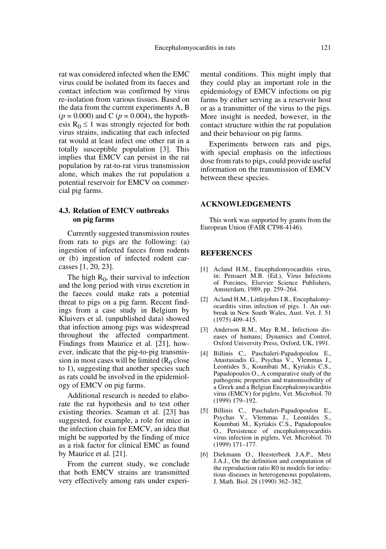rat was considered infected when the EMC virus could be isolated from its faeces and contact infection was confirmed by virus re-isolation from various tissues. Based on the data from the current experiments A, B  $(p = 0.000)$  and C  $(p = 0.004)$ , the hypothesis  $R_0 \leq 1$  was strongly rejected for both virus strains, indicating that each infected rat would at least infect one other rat in a totally susceptible population [3]. This implies that EMCV can persist in the rat population by rat-to-rat virus transmission alone, which makes the rat population a potential reservoir for EMCV on commercial pig farms.

## **4.3. Relation of EMCV outbreaks on pig farms**

Currently suggested transmission routes from rats to pigs are the following: (a) ingestion of infected faeces from rodents or (b) ingestion of infected rodent carcasses [1, 20, 23].

The high  $R_0$ , their survival to infection and the long period with virus excretion in the faeces could make rats a potential threat to pigs on a pig farm. Recent findings from a case study in Belgium by Kluivers et al. (unpublished data) showed that infection among pigs was widespread throughout the affected compartment. Findings from Maurice et al. [21], however, indicate that the pig-to-pig transmission in most cases will be limited  $(R_0$  close to 1), suggesting that another species such as rats could be involved in the epidemiology of EMCV on pig farms.

Additional research is needed to elaborate the rat hypothesis and to test other existing theories. Seaman et al. [23] has suggested, for example, a role for mice in the infection chain for EMCV, an idea that might be supported by the finding of mice as a risk factor for clinical EMC as found by Maurice et al. [21].

From the current study, we conclude that both EMCV strains are transmitted very effectively among rats under experimental conditions. This might imply that they could play an important role in the epidemiology of EMCV infections on pig farms by either serving as a reservoir host or as a transmitter of the virus to the pigs. More insight is needed, however, in the contact structure within the rat population and their behaviour on pig farms.

Experiments between rats and pigs, with special emphasis on the infectious dose from rats to pigs, could provide useful information on the transmission of EMCV between these species.

#### **ACKNOWLEDGEMENTS**

This work was supported by grants from the European Union (FAIR CT98-4146).

## **REFERENCES**

- [1] Acland H.M., Encephalomyocarditis virus, in: Pensaert M.B. (Ed.), Virus Infections of Porcines, Elsevier Science Publishers, Amsterdam, 1989, pp. 259–264.
- [2] Acland H.M., Littlejohns I.R., Encephalomyocarditis virus infection of pigs. 1. An outbreak in New South Wales, Aust. Vet. J. 51 (1975) 409–415.
- [3] Anderson R.M., May R.M., Infectious diseases of humans; Dynamics and Control, Oxford University Press, Oxford, UK, 1991.
- [4] Billinis C., Paschaleri-Papadopoulou E., Anastasiadis G., Psychas V., Vlemmas J., Leontides S., Koumbati M., Kyriakis C.S., Papadopoulos O., A comparative study of the pathogenic properties and transmissibility of a Greek and a Belgian Encephalomyocarditis virus (EMCV) for piglets, Vet. Microbiol. 70 (1999) 179–192.
- [5] Billinis C., Paschaleri-Papadopoulou E., Psychas V., Vlemmas J., Leontides S., Koumbati M., Kyriakis C.S., Papadopoulos O., Persistence of encephalomyocarditis virus infection in piglets, Vet. Microbiol. 70 (1999) 171–177.
- [6] Diekmann O., Heesterbeek J.A.P., Metz J.A.J., On the definition and computation of the reproduction ratio R0 in models for infectious diseases in heterogeneous populations, J. Math. Biol. 28 (1990) 362–382.